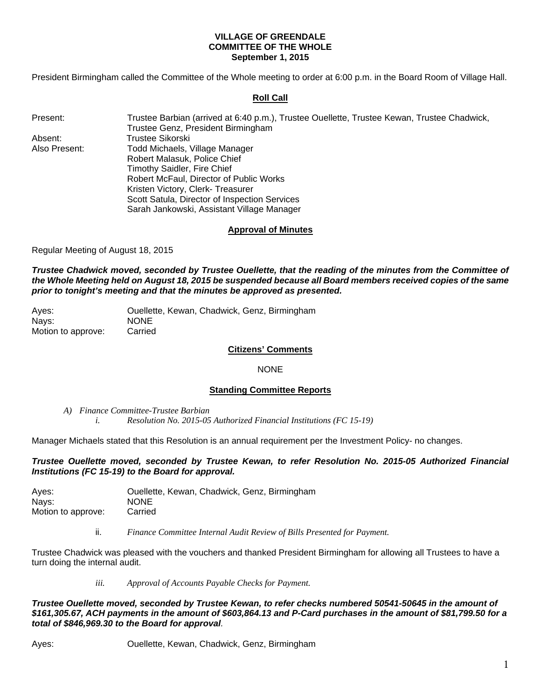## **VILLAGE OF GREENDALE COMMITTEE OF THE WHOLE September 1, 2015**

President Birmingham called the Committee of the Whole meeting to order at 6:00 p.m. in the Board Room of Village Hall.

# **Roll Call**

| Present:      | Trustee Barbian (arrived at 6:40 p.m.), Trustee Ouellette, Trustee Kewan, Trustee Chadwick, |
|---------------|---------------------------------------------------------------------------------------------|
|               | Trustee Genz, President Birmingham                                                          |
| Absent:       | Trustee Sikorski                                                                            |
| Also Present: | Todd Michaels, Village Manager                                                              |
|               | Robert Malasuk, Police Chief                                                                |
|               | Timothy Saidler, Fire Chief                                                                 |
|               | Robert McFaul, Director of Public Works                                                     |
|               | Kristen Victory, Clerk-Treasurer                                                            |
|               | Scott Satula, Director of Inspection Services                                               |
|               | Sarah Jankowski, Assistant Village Manager                                                  |

# **Approval of Minutes**

Regular Meeting of August 18, 2015

*Trustee Chadwick moved, seconded by Trustee Ouellette, that the reading of the minutes from the Committee of the Whole Meeting held on August 18, 2015 be suspended because all Board members received copies of the same prior to tonight's meeting and that the minutes be approved as presented.* 

| Aves:              | Ouellette, Kewan, Chadwick, Genz, Birmingham |
|--------------------|----------------------------------------------|
| Nays:              | <b>NONE</b>                                  |
| Motion to approve: | Carried                                      |

## **Citizens' Comments**

#### NONE

#### **Standing Committee Reports**

*A) Finance Committee-Trustee Barbian i. Resolution No. 2015-05 Authorized Financial Institutions (FC 15-19)* 

Manager Michaels stated that this Resolution is an annual requirement per the Investment Policy- no changes.

*Trustee Ouellette moved, seconded by Trustee Kewan, to refer Resolution No. 2015-05 Authorized Financial Institutions (FC 15-19) to the Board for approval.* 

| Aves:              | Ouellette, Kewan, Chadwick, Genz, Birmingham |
|--------------------|----------------------------------------------|
| Nays:              | <b>NONE</b>                                  |
| Motion to approve: | Carried                                      |

ii. *Finance Committee Internal Audit Review of Bills Presented for Payment.*

Trustee Chadwick was pleased with the vouchers and thanked President Birmingham for allowing all Trustees to have a turn doing the internal audit.

*iii. Approval of Accounts Payable Checks for Payment.* 

*Trustee Ouellette moved, seconded by Trustee Kewan, to refer checks numbered 50541-50645 in the amount of \$161,305.67, ACH payments in the amount of \$603,864.13 and P-Card purchases in the amount of \$81,799.50 for a total of \$846,969.30 to the Board for approval.*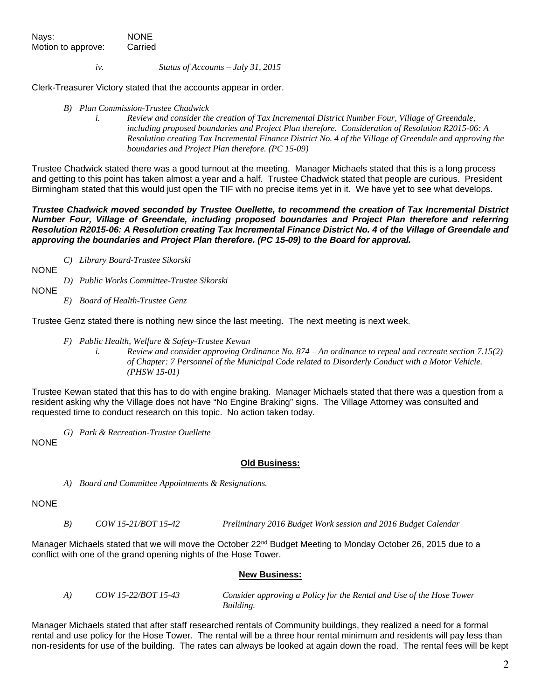Nays: NONE Motion to approve: Carried

*iv. Status of Accounts – July 31, 2015* 

Clerk-Treasurer Victory stated that the accounts appear in order.

- *B) Plan Commission-Trustee Chadwick* 
	- *i. Review and consider the creation of Tax Incremental District Number Four, Village of Greendale, including proposed boundaries and Project Plan therefore. Consideration of Resolution R2015-06: A Resolution creating Tax Incremental Finance District No. 4 of the Village of Greendale and approving the boundaries and Project Plan therefore. (PC 15-09)*

Trustee Chadwick stated there was a good turnout at the meeting. Manager Michaels stated that this is a long process and getting to this point has taken almost a year and a half. Trustee Chadwick stated that people are curious. President Birmingham stated that this would just open the TIF with no precise items yet in it. We have yet to see what develops.

*Trustee Chadwick moved seconded by Trustee Ouellette, to recommend the creation of Tax Incremental District Number Four, Village of Greendale, including proposed boundaries and Project Plan therefore and referring Resolution R2015-06: A Resolution creating Tax Incremental Finance District No. 4 of the Village of Greendale and approving the boundaries and Project Plan therefore. (PC 15-09) to the Board for approval.* 

*C) Library Board-Trustee Sikorski* 

**NONE** 

*D) Public Works Committee-Trustee Sikorski* 

NONE

*E) Board of Health-Trustee Genz* 

Trustee Genz stated there is nothing new since the last meeting. The next meeting is next week.

- *F) Public Health, Welfare & Safety-Trustee Kewan* 
	- *i. Review and consider approving Ordinance No. 874 An ordinance to repeal and recreate section 7.15(2) of Chapter: 7 Personnel of the Municipal Code related to Disorderly Conduct with a Motor Vehicle. (PHSW 15-01)*

Trustee Kewan stated that this has to do with engine braking. Manager Michaels stated that there was a question from a resident asking why the Village does not have "No Engine Braking" signs. The Village Attorney was consulted and requested time to conduct research on this topic. No action taken today.

*G) Park & Recreation-Trustee Ouellette* 

NONE

#### **Old Business:**

*A) Board and Committee Appointments & Resignations.* 

#### NONE

*B) COW 15-21/BOT 15-42 Preliminary 2016 Budget Work session and 2016 Budget Calendar* 

Manager Michaels stated that we will move the October 22<sup>nd</sup> Budget Meeting to Monday October 26, 2015 due to a conflict with one of the grand opening nights of the Hose Tower.

#### **New Business:**

 *A) COW 15-22/BOT 15-43 Consider approving a Policy for the Rental and Use of the Hose Tower Building.*

Manager Michaels stated that after staff researched rentals of Community buildings, they realized a need for a formal rental and use policy for the Hose Tower. The rental will be a three hour rental minimum and residents will pay less than non-residents for use of the building. The rates can always be looked at again down the road. The rental fees will be kept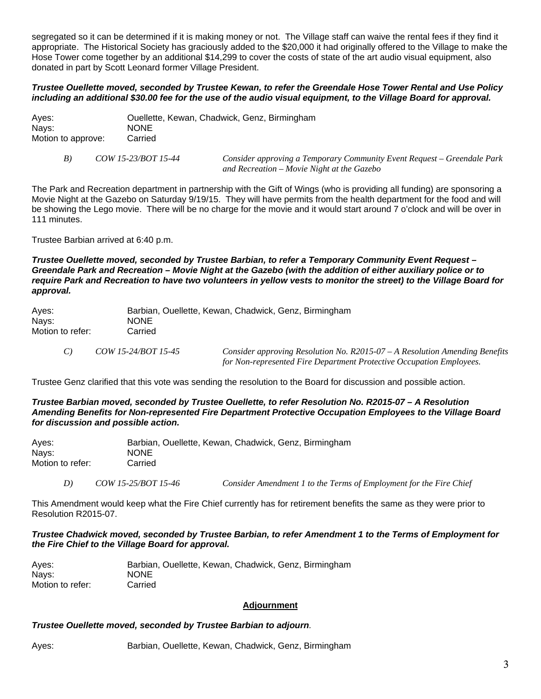segregated so it can be determined if it is making money or not. The Village staff can waive the rental fees if they find it appropriate. The Historical Society has graciously added to the \$20,000 it had originally offered to the Village to make the Hose Tower come together by an additional \$14,299 to cover the costs of state of the art audio visual equipment, also donated in part by Scott Leonard former Village President.

# *Trustee Ouellette moved, seconded by Trustee Kewan, to refer the Greendale Hose Tower Rental and Use Policy including an additional \$30.00 fee for the use of the audio visual equipment, to the Village Board for approval.*

| Aves:              | Ouellette, Kewan, Chadwick, Genz, Birmingham |
|--------------------|----------------------------------------------|
| Nays:              | <b>NONE</b>                                  |
| Motion to approve: | Carried                                      |

 *B) COW 15-23/BOT 15-44 Consider approving a Temporary Community Event Request – Greendale Park and Recreation – Movie Night at the Gazebo* 

The Park and Recreation department in partnership with the Gift of Wings (who is providing all funding) are sponsoring a Movie Night at the Gazebo on Saturday 9/19/15. They will have permits from the health department for the food and will be showing the Lego movie. There will be no charge for the movie and it would start around 7 o'clock and will be over in 111 minutes.

Trustee Barbian arrived at 6:40 p.m.

*Trustee Ouellette moved, seconded by Trustee Barbian, to refer a Temporary Community Event Request – Greendale Park and Recreation – Movie Night at the Gazebo (with the addition of either auxiliary police or to require Park and Recreation to have two volunteers in yellow vests to monitor the street) to the Village Board for approval.* 

| Aves:            |                     | Barbian, Ouellette, Kewan, Chadwick, Genz, Birmingham                       |
|------------------|---------------------|-----------------------------------------------------------------------------|
| Nays:            | <b>NONE</b>         |                                                                             |
| Motion to refer: | Carried             |                                                                             |
|                  | COW 15-24/BOT 15-45 | Consider approving Resolution No. $R2015-07-A$ Resolution Amending Benefits |

 *for Non-represented Fire Department Protective Occupation Employees.* 

Trustee Genz clarified that this vote was sending the resolution to the Board for discussion and possible action.

#### *Trustee Barbian moved, seconded by Trustee Ouellette, to refer Resolution No. R2015-07 – A Resolution Amending Benefits for Non-represented Fire Department Protective Occupation Employees to the Village Board for discussion and possible action.*

| Ayes:            | Barbian, Ouellette, Kewan, Chadwick, Genz, Birmingham |
|------------------|-------------------------------------------------------|
| Nays:            | <b>NONE</b>                                           |
| Motion to refer: | Carried                                               |

 *D) COW 15-25/BOT 15-46 Consider Amendment 1 to the Terms of Employment for the Fire Chief*

This Amendment would keep what the Fire Chief currently has for retirement benefits the same as they were prior to Resolution R2015-07.

# *Trustee Chadwick moved, seconded by Trustee Barbian, to refer Amendment 1 to the Terms of Employment for the Fire Chief to the Village Board for approval.*

| Ayes:            | Barbian, Ouellette, Kewan, Chadwick, Genz, Birmingham |
|------------------|-------------------------------------------------------|
| Nays:            | <b>NONE</b>                                           |
| Motion to refer: | Carried                                               |

# **Adjournment**

# *Trustee Ouellette moved, seconded by Trustee Barbian to adjourn.*

Ayes: Barbian, Ouellette, Kewan, Chadwick, Genz, Birmingham